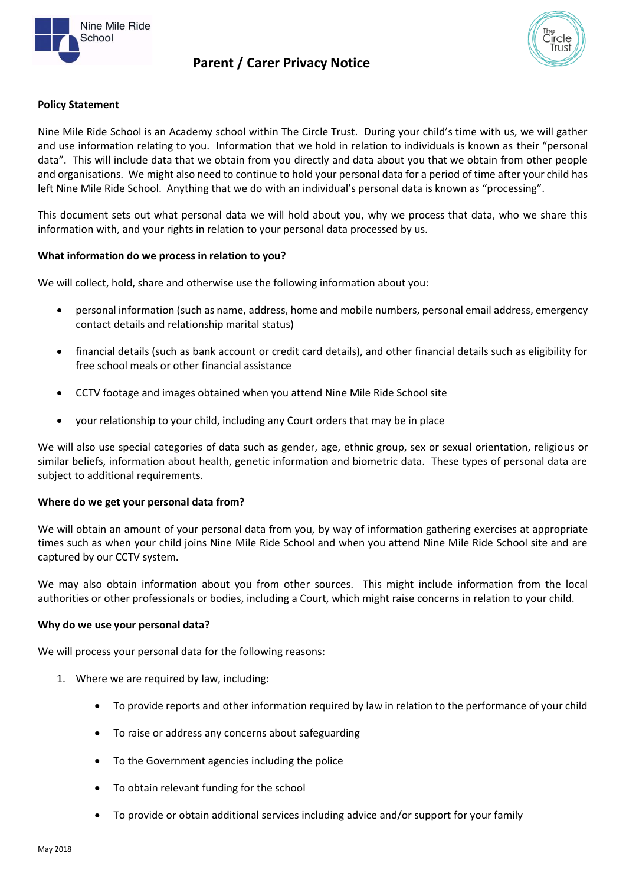

# **Parent / Carer Privacy Notice**



### **Policy Statement**

Nine Mile Ride School is an Academy school within The Circle Trust. During your child's time with us, we will gather and use information relating to you. Information that we hold in relation to individuals is known as their "personal data". This will include data that we obtain from you directly and data about you that we obtain from other people and organisations. We might also need to continue to hold your personal data for a period of time after your child has left Nine Mile Ride School. Anything that we do with an individual's personal data is known as "processing".

This document sets out what personal data we will hold about you, why we process that data, who we share this information with, and your rights in relation to your personal data processed by us.

### **What information do we process in relation to you?**

We will collect, hold, share and otherwise use the following information about you:

- personal information (such as name, address, home and mobile numbers, personal email address, emergency contact details and relationship marital status)
- financial details (such as bank account or credit card details), and other financial details such as eligibility for free school meals or other financial assistance
- CCTV footage and images obtained when you attend Nine Mile Ride School site
- your relationship to your child, including any Court orders that may be in place

We will also use special categories of data such as gender, age, ethnic group, sex or sexual orientation, religious or similar beliefs, information about health, genetic information and biometric data. These types of personal data are subject to additional requirements.

### **Where do we get your personal data from?**

We will obtain an amount of your personal data from you, by way of information gathering exercises at appropriate times such as when your child joins Nine Mile Ride School and when you attend Nine Mile Ride School site and are captured by our CCTV system.

We may also obtain information about you from other sources. This might include information from the local authorities or other professionals or bodies, including a Court, which might raise concerns in relation to your child.

#### **Why do we use your personal data?**

We will process your personal data for the following reasons:

- 1. Where we are required by law, including:
	- To provide reports and other information required by law in relation to the performance of your child
	- To raise or address any concerns about safeguarding
	- To the Government agencies including the police
	- To obtain relevant funding for the school
	- To provide or obtain additional services including advice and/or support for your family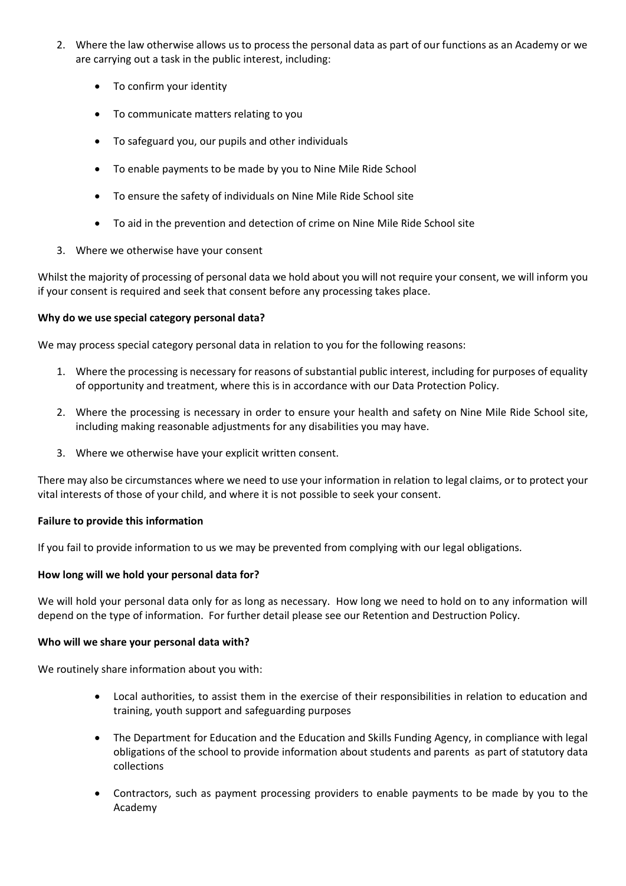- 2. Where the law otherwise allows us to process the personal data as part of our functions as an Academy or we are carrying out a task in the public interest, including:
	- To confirm your identity
	- To communicate matters relating to you
	- To safeguard you, our pupils and other individuals
	- To enable payments to be made by you to Nine Mile Ride School
	- To ensure the safety of individuals on Nine Mile Ride School site
	- To aid in the prevention and detection of crime on Nine Mile Ride School site
- 3. Where we otherwise have your consent

Whilst the majority of processing of personal data we hold about you will not require your consent, we will inform you if your consent is required and seek that consent before any processing takes place.

## **Why do we use special category personal data?**

We may process special category personal data in relation to you for the following reasons:

- 1. Where the processing is necessary for reasons of substantial public interest, including for purposes of equality of opportunity and treatment, where this is in accordance with our Data Protection Policy.
- 2. Where the processing is necessary in order to ensure your health and safety on Nine Mile Ride School site, including making reasonable adjustments for any disabilities you may have.
- 3. Where we otherwise have your explicit written consent.

There may also be circumstances where we need to use your information in relation to legal claims, or to protect your vital interests of those of your child, and where it is not possible to seek your consent.

### **Failure to provide this information**

If you fail to provide information to us we may be prevented from complying with our legal obligations.

### **How long will we hold your personal data for?**

We will hold your personal data only for as long as necessary. How long we need to hold on to any information will depend on the type of information. For further detail please see our Retention and Destruction Policy.

### **Who will we share your personal data with?**

We routinely share information about you with:

- Local authorities, to assist them in the exercise of their responsibilities in relation to education and training, youth support and safeguarding purposes
- The Department for Education and the Education and Skills Funding Agency, in compliance with legal obligations of the school to provide information about students and parents as part of statutory data collections
- Contractors, such as payment processing providers to enable payments to be made by you to the Academy